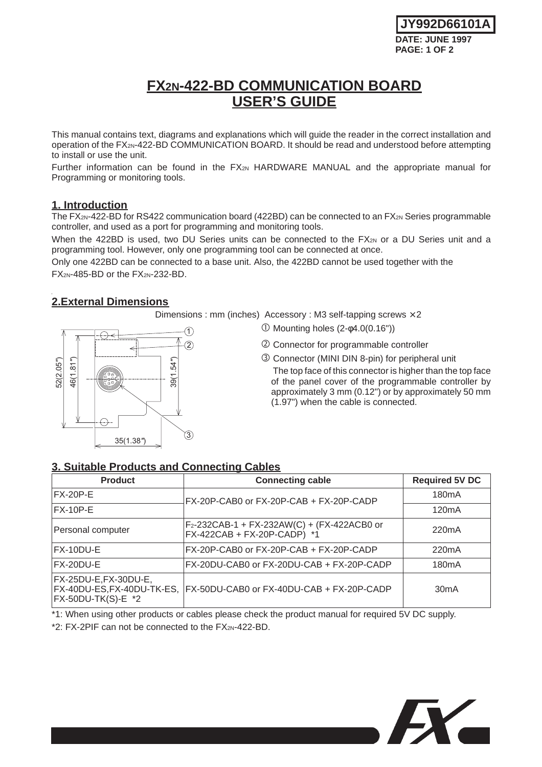**JY992D66101A DATE: JUNE 1997 PAGE: 1 OF 2**

# **FX2N-422-BD COMMUNICATION BOARD USER'S GUIDE**

This manual contains text, diagrams and explanations which will guide the reader in the correct installation and operation of the FX2N-422-BD COMMUNICATION BOARD. It should be read and understood before attempting to install or use the unit.

Further information can be found in the FX<sub>2N</sub> HARDWARE MANUAL and the appropriate manual for Programming or monitoring tools.

#### **1. Introduction**

The FX<sub>2N</sub>-422-BD for RS422 communication board (422BD) can be connected to an FX<sub>2N</sub> Series programmable controller, and used as a port for programming and monitoring tools.

When the 422BD is used, two DU Series units can be connected to the FX2N or a DU Series unit and a programming tool. However, only one programming tool can be connected at once.

Only one 422BD can be connected to a base unit. Also, the 422BD cannot be used together with the  $FX_{2N-}485-BD$  or the  $FX_{2N-}232-BD$ .

## **2.External Dimensions**

Dimensions : mm (inches)  $\text{Accessory}$  : M3 self-tapping screws  $\times$  2

- 35(1.38*"*) 46(1.81*"*) 52(2.05*"*)  $\hat{3}$ 39(1.54*"*)  $(2)$ 1
- $\textcircled{1}$  Mounting holes (2- $\phi$ 4.0(0.16"))
- Connector for programmable controller
- Connector (MINI DIN 8-pin) for peripheral unit The top face of this connector is higher than the top face of the panel cover of the programmable controller by approximately 3 mm (0.12") or by approximately 50 mm (1.97") when the cable is connected.

## **3. Suitable Products and Connecting Cables**

| <b>Product</b>                                                              | <b>Connecting cable</b>                                                                | <b>Required 5V DC</b> |
|-----------------------------------------------------------------------------|----------------------------------------------------------------------------------------|-----------------------|
| $FX-20P-E$                                                                  | FX-20P-CAB0 or FX-20P-CAB + FX-20P-CADP                                                | 180 <sub>m</sub> A    |
| $FX-10P-E$                                                                  |                                                                                        | 120 <sub>m</sub> A    |
| Personal computer                                                           | F <sub>2</sub> -232CAB-1 + FX-232AW(C) + (FX-422ACB0 or<br>FX-422CAB + FX-20P-CADP) *1 | 220 <sub>m</sub> A    |
| FX-10DU-E                                                                   | FX-20P-CAB0 or FX-20P-CAB + FX-20P-CADP                                                | 220 <sub>m</sub> A    |
| FX-20DU-E                                                                   | FX-20DU-CAB0 or FX-20DU-CAB + FX-20P-CADP                                              | 180 <sub>m</sub> A    |
| FX-25DU-E, FX-30DU-E,<br>FX-40DU-ES, FX-40DU-TK-ES,<br>$FX-50DU-TK(S)-E$ *2 | FX-50DU-CAB0 or FX-40DU-CAB + FX-20P-CADP                                              | 30mA                  |

\*1: When using other products or cables please check the product manual for required 5V DC supply.

\*2: FX-2PIF can not be connected to the FX2N-422-BD.